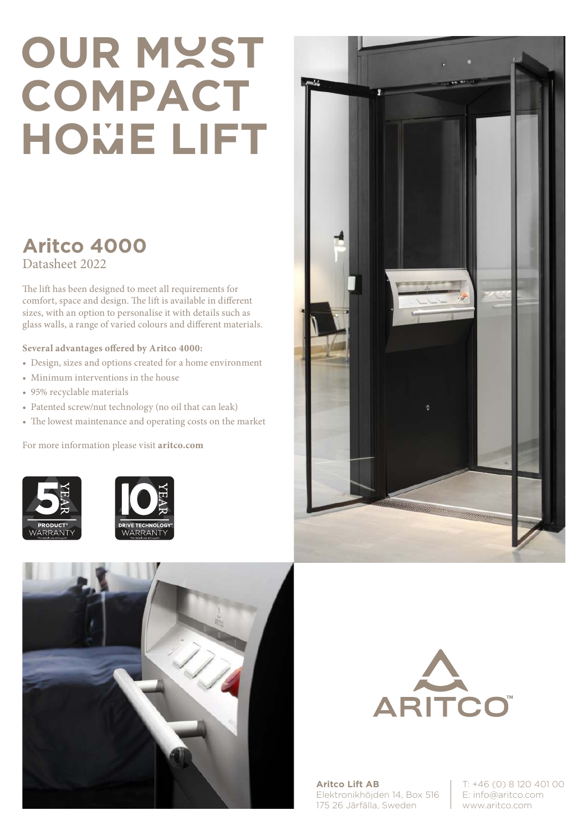## **OUR MYST COMPACT HOmE LIFT**

## **Aritco 4000** Datasheet 2022

The lift has been designed to meet all requirements for comfort, space and design. The lift is available in different sizes, with an option to personalise it with details such as glass walls, a range of varied colours and different materials.

## **Several advantages offered by Aritco 4000:**

- Design, sizes and options created for a home environment
- Minimum interventions in the house
- 95% recyclable materials
- Patented screw/nut technology (no oil that can leak)
- The lowest maintenance and operating costs on the market

For more information please visit **aritco.com**











**Aritco Lift AB** Elektronikhöjden 14, Box 516 175 26 Järfälla, Sweden

T: +46 (0) 8 120 401 00 E: info@aritco.com www.aritco.com